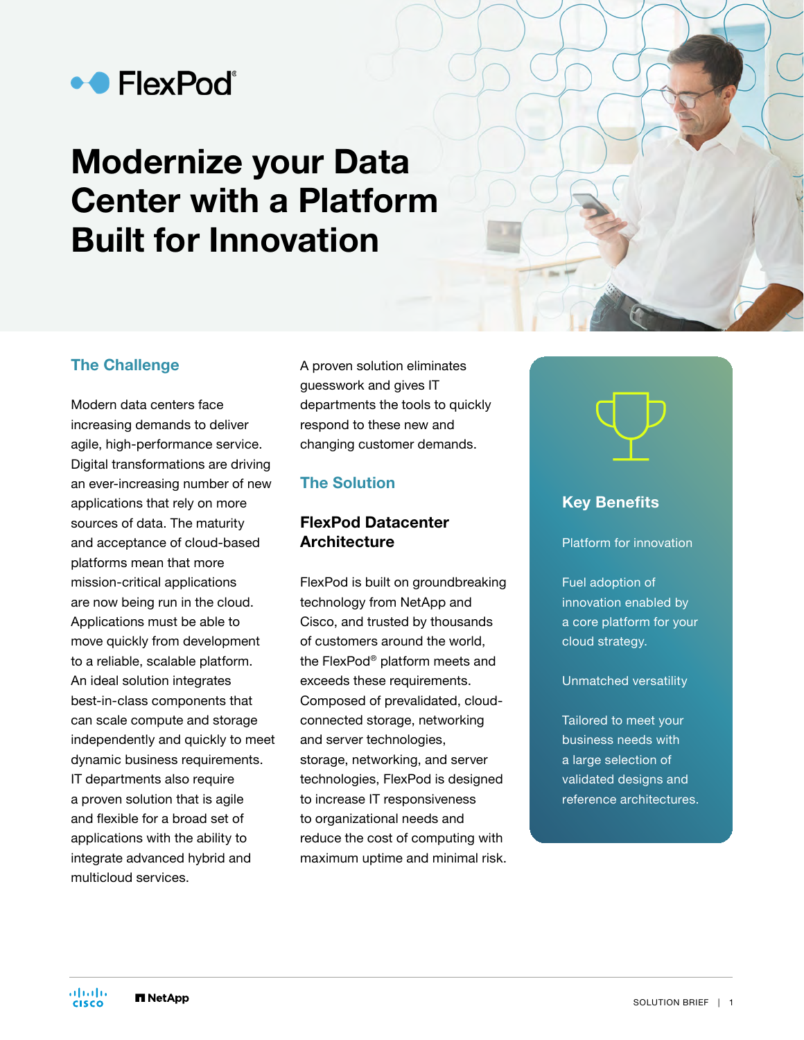

# Modernize your Data Center with a Platform Built for Innovation

### The Challenge

Modern data centers face increasing demands to deliver agile, high-performance service. Digital transformations are driving an ever-increasing number of new applications that rely on more sources of data. The maturity and acceptance of cloud-based platforms mean that more mission-critical applications are now being run in the cloud. Applications must be able to move quickly from development to a reliable, scalable platform. An ideal solution integrates best-in-class components that can scale compute and storage independently and quickly to meet dynamic business requirements. IT departments also require a proven solution that is agile and flexible for a broad set of applications with the ability to integrate advanced hybrid and multicloud services.

A proven solution eliminates guesswork and gives IT departments the tools to quickly respond to these new and changing customer demands.

### The Solution

# FlexPod Datacenter **Architecture**

FlexPod is built on groundbreaking technology from NetApp and Cisco, and trusted by thousands of customers around the world, the FlexPod® platform meets and exceeds these requirements. Composed of prevalidated, cloudconnected storage, networking and server technologies, storage, networking, and server technologies, FlexPod is designed to increase IT responsiveness to organizational needs and reduce the cost of computing with maximum uptime and minimal risk.

#### Key Benefits

Platform for innovation

Fuel adoption of innovation enabled by a core platform for your cloud strategy.

#### Unmatched versatility

Tailored to meet your business needs with a large selection of validated designs and reference architectures.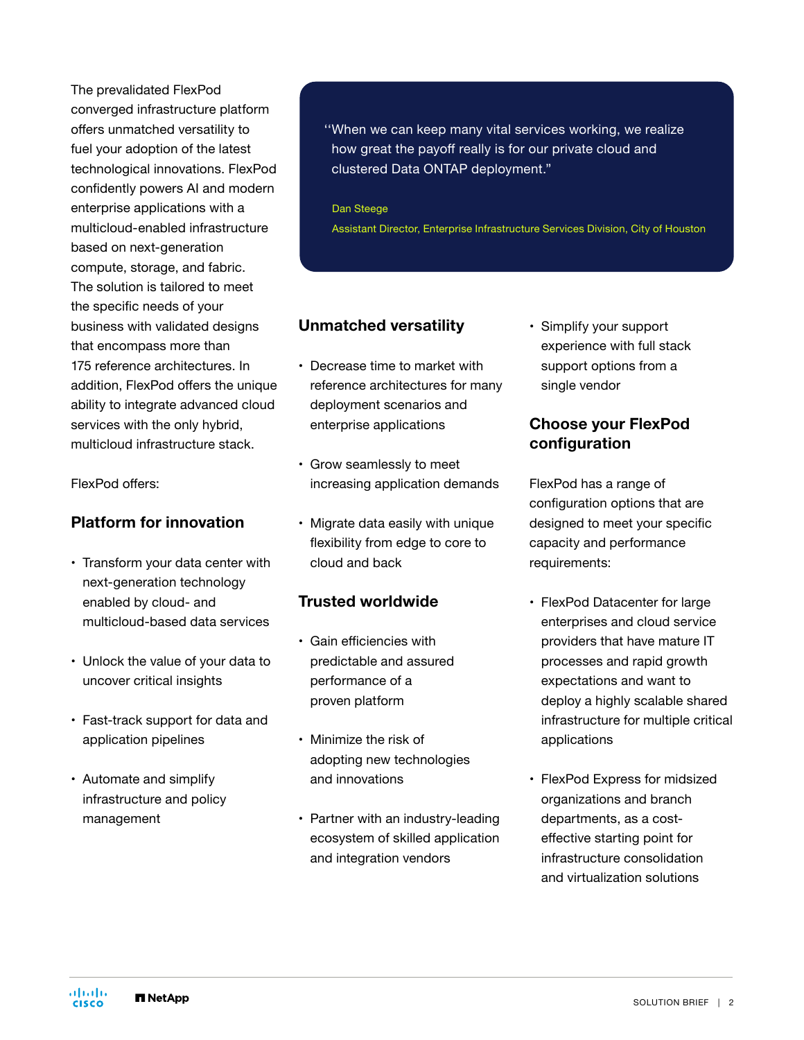The prevalidated FlexPod converged infrastructure platform offers unmatched versatility to fuel your adoption of the latest technological innovations. FlexPod confidently powers AI and modern enterprise applications with a multicloud-enabled infrastructure based on next-generation compute, storage, and fabric. The solution is tailored to meet the specific needs of your business with validated designs that encompass more than 175 reference architectures. In addition, FlexPod offers the unique ability to integrate advanced cloud services with the only hybrid, multicloud infrastructure stack.

FlexPod offers:

# Platform for innovation

- Transform your data center with next-generation technology enabled by cloud- and multicloud-based data services
- Unlock the value of your data to uncover critical insights
- Fast-track support for data and application pipelines
- Automate and simplify infrastructure and policy management

#### ''When we can keep many vital services working, we realize how great the payoff really is for our private cloud and clustered Data ONTAP deployment."

 Dan Steege Assistant Director, Enterprise Infrastructure Services Division, City of Houston

# Unmatched versatility

- Decrease time to market with reference architectures for many deployment scenarios and enterprise applications
- Grow seamlessly to meet increasing application demands
- Migrate data easily with unique flexibility from edge to core to cloud and back

#### Trusted worldwide

- Gain efficiencies with predictable and assured performance of a proven platform
- Minimize the risk of adopting new technologies and innovations
- Partner with an industry-leading ecosystem of skilled application and integration vendors

• Simplify your support experience with full stack support options from a single vendor

### Choose your FlexPod configuration

FlexPod has a range of configuration options that are designed to meet your specific capacity and performance requirements:

- FlexPod Datacenter for large enterprises and cloud service providers that have mature IT processes and rapid growth expectations and want to deploy a highly scalable shared infrastructure for multiple critical applications
- FlexPod Express for midsized organizations and branch departments, as a costeffective starting point for infrastructure consolidation and virtualization solutions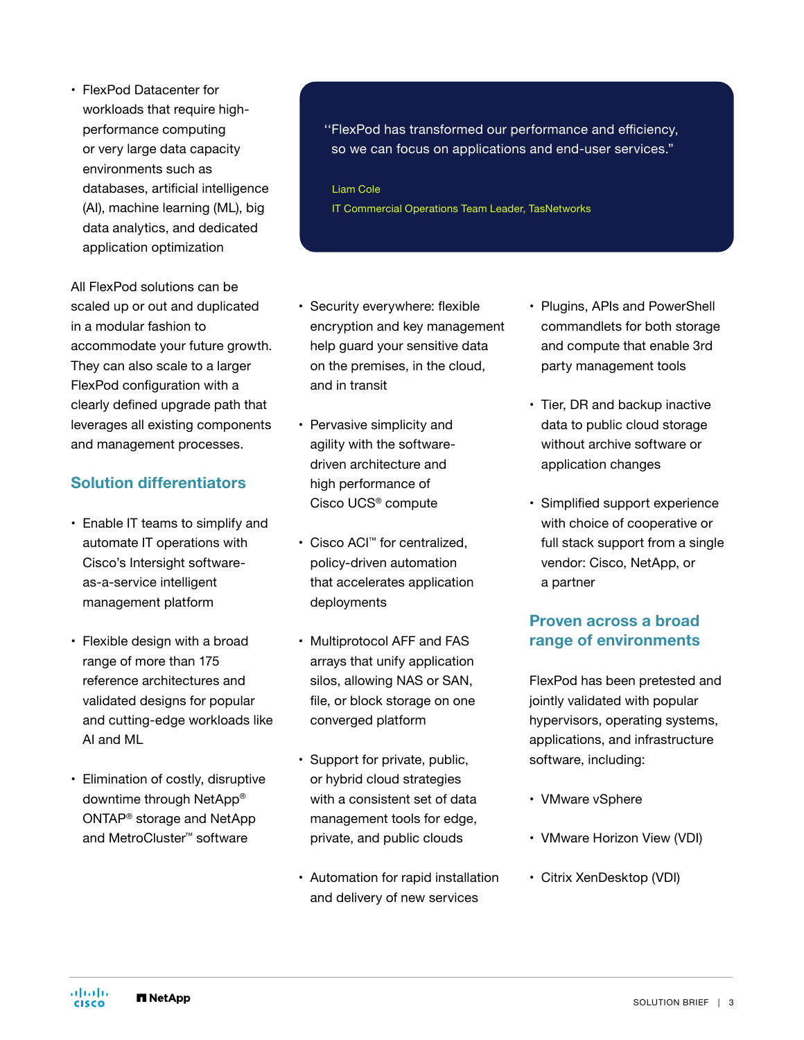• FlexPod Datacenter for workloads that require highperformance computing or very large data capacity environments such as databases, artificial intelligence (AI), machine learning (ML), big data analytics, and dedicated application optimization

All FlexPod solutions can be scaled up or out and duplicated in a modular fashion to accommodate your future growth. They can also scale to a larger FlexPod configuration with a clearly defined upgrade path that leverages all existing components and management processes.

#### Solution differentiators

- Enable IT teams to simplify and automate IT operations with Cisco's Intersight softwareas-a-service intelligent management platform
- Flexible design with a broad range of more than 175 reference architectures and validated designs for popular and cutting-edge workloads like AI and ML
- Elimination of costly, disruptive downtime through NetApp® ONTAP® storage and NetApp and MetroCluster™ software

''FlexPod has transformed our performance and efficiency, so we can focus on applications and end-user services."

Liam Cole IT Commercial Operations Team Leader, TasNetworks

- Security everywhere: flexible encryption and key management help guard your sensitive data on the premises, in the cloud, and in transit
- Pervasive simplicity and agility with the softwaredriven architecture and high performance of Cisco UCS® compute
- Cisco ACI™ for centralized, policy-driven automation that accelerates application deployments
- Multiprotocol AFF and FAS arrays that unify application silos, allowing NAS or SAN, file, or block storage on one converged platform
- Support for private, public, or hybrid cloud strategies with a consistent set of data management tools for edge, private, and public clouds
- Automation for rapid installation and delivery of new services
- Plugins, APIs and PowerShell commandlets for both storage and compute that enable 3rd party management tools
- Tier, DR and backup inactive data to public cloud storage without archive software or application changes
- Simplified support experience with choice of cooperative or full stack support from a single vendor: Cisco, NetApp, or a partner

### Proven across a broad range of environments

FlexPod has been pretested and jointly validated with popular hypervisors, operating systems, applications, and infrastructure software, including:

- VMware vSphere
- VMware Horizon View (VDI)
- Citrix XenDesktop (VDI)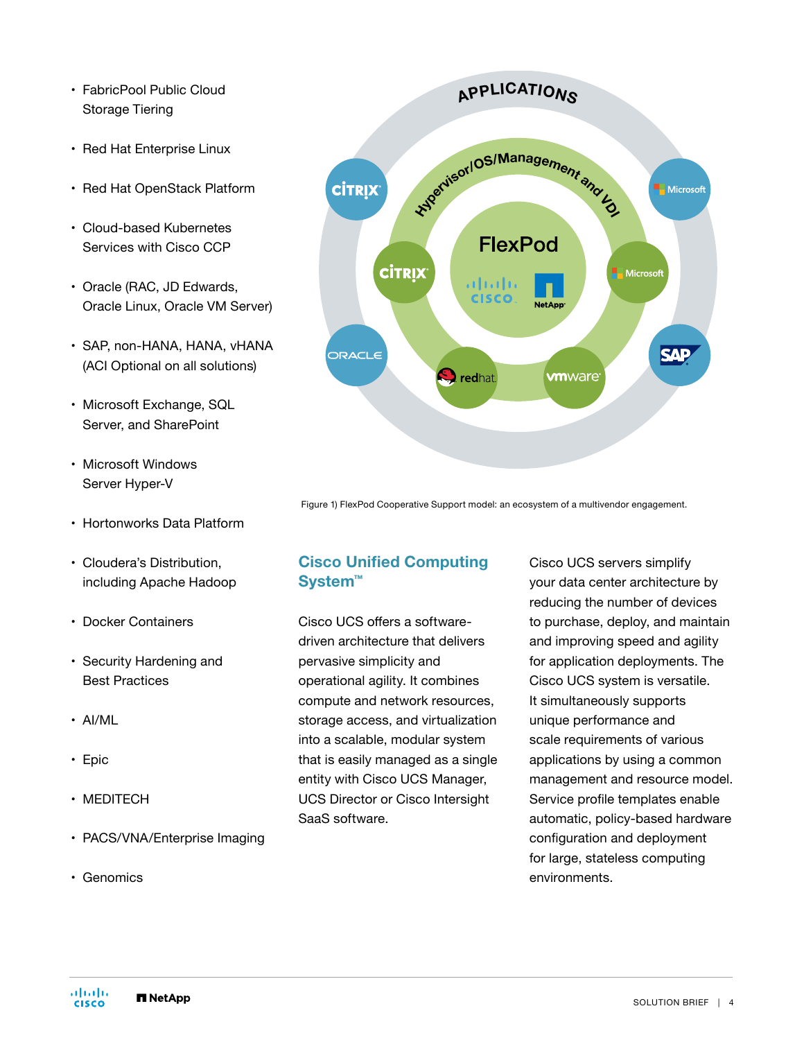- FabricPool Public Cloud Storage Tiering
- Red Hat Enterprise Linux
- Red Hat OpenStack Platform
- Cloud-based Kubernetes Services with Cisco CCP
- Oracle (RAC, JD Edwards, Oracle Linux, Oracle VM Server)
- SAP, non-HANA, HANA, vHANA (ACI Optional on all solutions)
- Microsoft Exchange, SQL Server, and SharePoint
- Microsoft Windows Server Hyper-V
- Hortonworks Data Platform
- Cloudera's Distribution, including Apache Hadoop
- Docker Containers
- Security Hardening and Best Practices
- AI/ML
- Epic
- MEDITECH
- PACS/VNA/Enterprise Imaging
- Genomics



Figure 1) FlexPod Cooperative Support model: an ecosystem of a multivendor engagement.

# Cisco Unified Computing System™

Cisco UCS offers a softwaredriven architecture that delivers pervasive simplicity and operational agility. It combines compute and network resources, storage access, and virtualization into a scalable, modular system that is easily managed as a single entity with Cisco UCS Manager, UCS Director or Cisco Intersight SaaS software.

Cisco UCS servers simplify your data center architecture by reducing the number of devices to purchase, deploy, and maintain and improving speed and agility for application deployments. The Cisco UCS system is versatile. It simultaneously supports unique performance and scale requirements of various applications by using a common management and resource model. Service profile templates enable automatic, policy-based hardware configuration and deployment for large, stateless computing environments.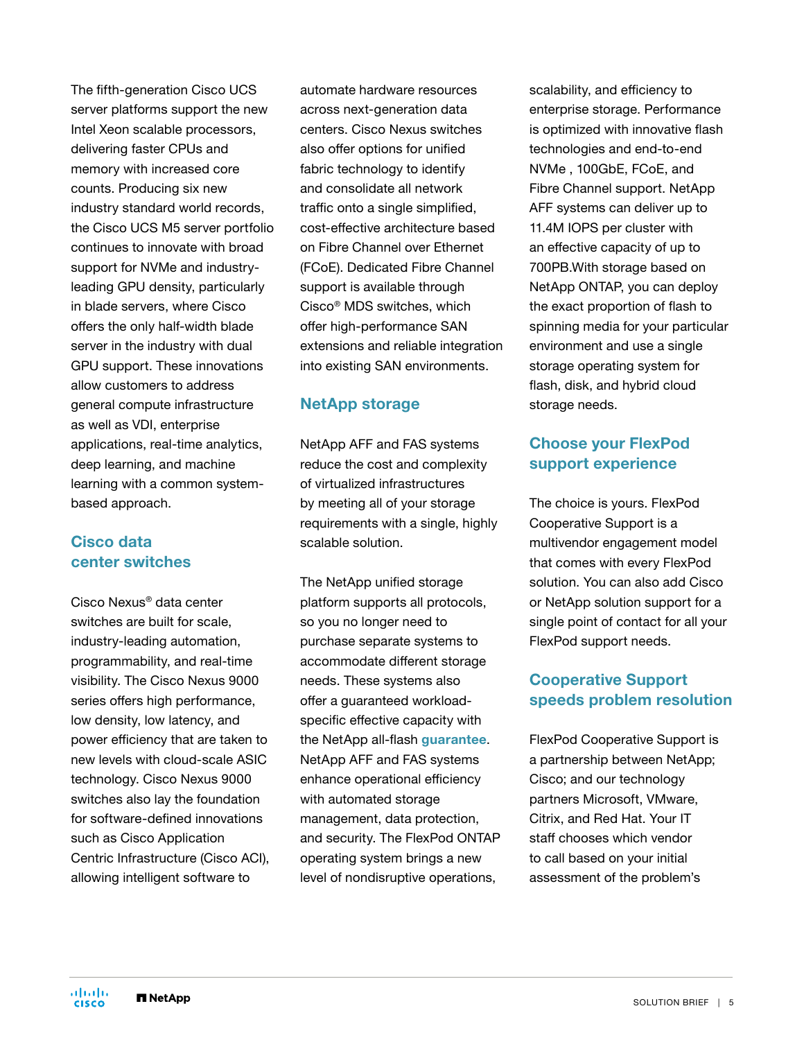The fifth-generation Cisco UCS server platforms support the new Intel Xeon scalable processors, delivering faster CPUs and memory with increased core counts. Producing six new industry standard world records, the Cisco UCS M5 server portfolio continues to innovate with broad support for NVMe and industryleading GPU density, particularly in blade servers, where Cisco offers the only half-width blade server in the industry with dual GPU support. These innovations allow customers to address general compute infrastructure as well as VDI, enterprise applications, real-time analytics, deep learning, and machine learning with a common systembased approach.

### Cisco data center switches

Cisco Nexus® data center switches are built for scale, industry-leading automation, programmability, and real-time visibility. The Cisco Nexus 9000 series offers high performance, low density, low latency, and power efficiency that are taken to new levels with cloud-scale ASIC technology. Cisco Nexus 9000 switches also lay the foundation for software-defined innovations such as Cisco Application Centric Infrastructure (Cisco ACI), allowing intelligent software to

automate hardware resources across next-generation data centers. Cisco Nexus switches also offer options for unified fabric technology to identify and consolidate all network traffic onto a single simplified, cost-effective architecture based on Fibre Channel over Ethernet (FCoE). Dedicated Fibre Channel support is available through Cisco® MDS switches, which offer high-performance SAN extensions and reliable integration into existing SAN environments.

### NetApp storage

NetApp AFF and FAS systems reduce the cost and complexity of virtualized infrastructures by meeting all of your storage requirements with a single, highly scalable solution.

The NetApp unified storage platform supports all protocols, so you no longer need to purchase separate systems to accommodate different storage needs. These systems also offer a guaranteed workloadspecific effective capacity with the NetApp all-flash [guarantee](https://www.netapp.com/us/forms/sales-inquiry/flash-advantage.aspx). NetApp AFF and FAS systems enhance operational efficiency with automated storage management, data protection, and security. The FlexPod ONTAP operating system brings a new level of nondisruptive operations,

scalability, and efficiency to enterprise storage. Performance is optimized with innovative flash technologies and end-to-end NVMe , 100GbE, FCoE, and Fibre Channel support. NetApp AFF systems can deliver up to 11.4M IOPS per cluster with an effective capacity of up to 700PB.With storage based on NetApp ONTAP, you can deploy the exact proportion of flash to spinning media for your particular environment and use a single storage operating system for flash, disk, and hybrid cloud storage needs.

# Choose your FlexPod support experience

The choice is yours. FlexPod Cooperative Support is a multivendor engagement model that comes with every FlexPod solution. You can also add Cisco or NetApp solution support for a single point of contact for all your FlexPod support needs.

# Cooperative Support speeds problem resolution

FlexPod Cooperative Support is a partnership between NetApp; Cisco; and our technology partners Microsoft, VMware, Citrix, and Red Hat. Your IT staff chooses which vendor to call based on your initial assessment of the problem's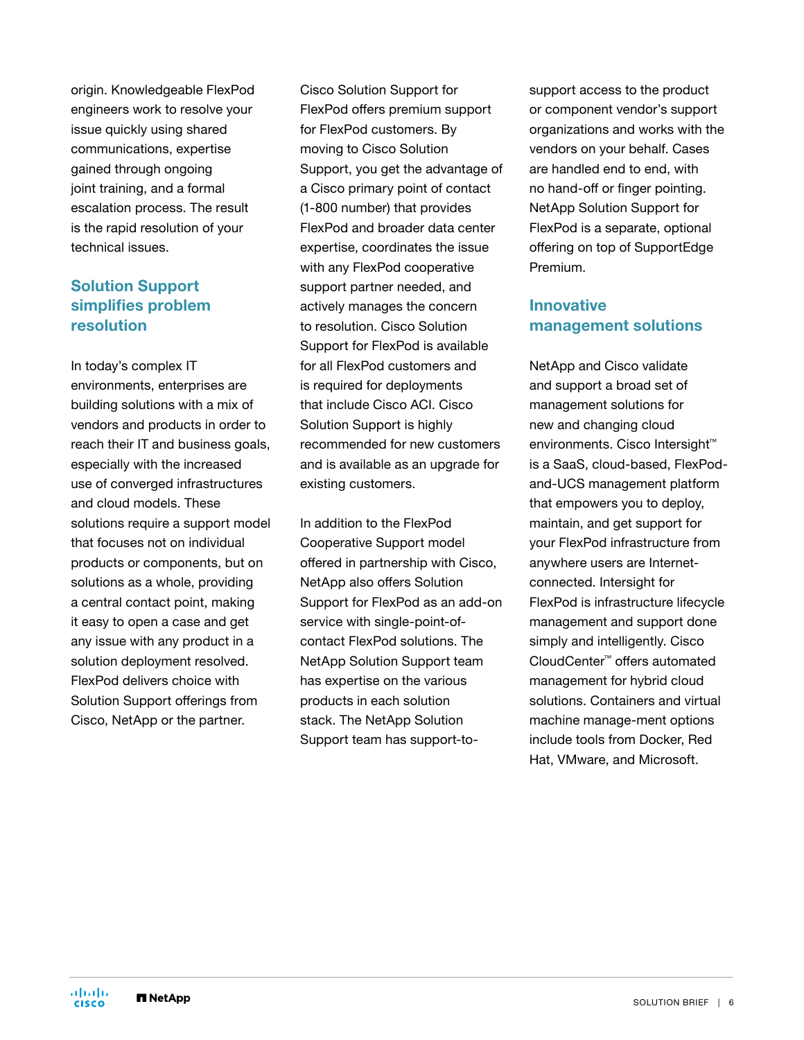origin. Knowledgeable FlexPod engineers work to resolve your issue quickly using shared communications, expertise gained through ongoing joint training, and a formal escalation process. The result is the rapid resolution of your technical issues.

# Solution Support simplifies problem resolution

In today's complex IT environments, enterprises are building solutions with a mix of vendors and products in order to reach their IT and business goals, especially with the increased use of converged infrastructures and cloud models. These solutions require a support model that focuses not on individual products or components, but on solutions as a whole, providing a central contact point, making it easy to open a case and get any issue with any product in a solution deployment resolved. FlexPod delivers choice with Solution Support offerings from Cisco, NetApp or the partner.

Cisco Solution Support for FlexPod offers premium support for FlexPod customers. By moving to Cisco Solution Support, you get the advantage of a Cisco primary point of contact (1-800 number) that provides FlexPod and broader data center expertise, coordinates the issue with any FlexPod cooperative support partner needed, and actively manages the concern to resolution. Cisco Solution Support for FlexPod is available for all FlexPod customers and is required for deployments that include Cisco ACI. Cisco Solution Support is highly recommended for new customers and is available as an upgrade for existing customers.

In addition to the FlexPod Cooperative Support model offered in partnership with Cisco, NetApp also offers Solution Support for FlexPod as an add-on service with single-point-ofcontact FlexPod solutions. The NetApp Solution Support team has expertise on the various products in each solution stack. The NetApp Solution Support team has support-to-

support access to the product or component vendor's support organizations and works with the vendors on your behalf. Cases are handled end to end, with no hand-off or finger pointing. NetApp Solution Support for FlexPod is a separate, optional offering on top of SupportEdge Premium.

#### Innovative management solutions

NetApp and Cisco validate and support a broad set of management solutions for new and changing cloud environments. Cisco Intersight™ is a SaaS, cloud-based, FlexPodand-UCS management platform that empowers you to deploy, maintain, and get support for your FlexPod infrastructure from anywhere users are Internetconnected. Intersight for FlexPod is infrastructure lifecycle management and support done simply and intelligently. Cisco CloudCenter™ offers automated management for hybrid cloud solutions. Containers and virtual machine manage-ment options include tools from Docker, Red Hat, VMware, and Microsoft.